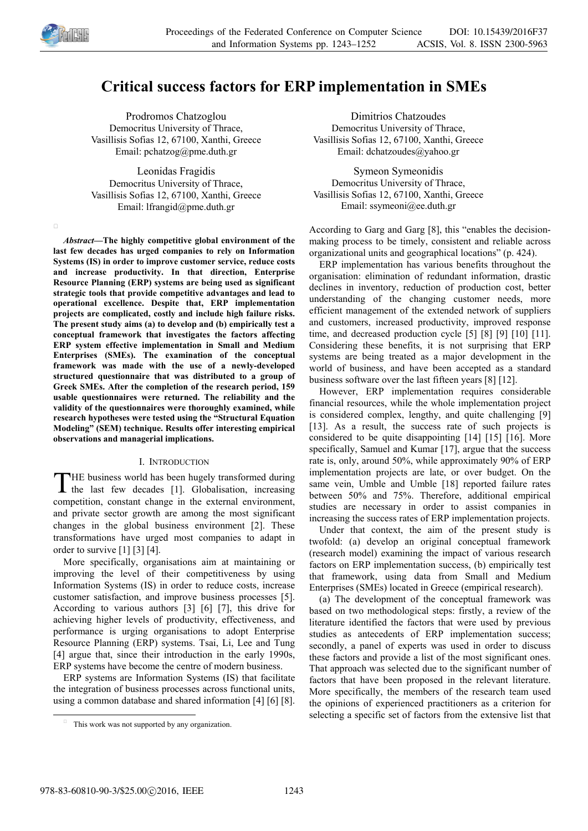

 $\Box$ 

# **Critical success factors for ERP implementation in SMEs**

Prodromos Chatzoglou Democritus University of Thrace, Vasillisis Sofias 12, 67100, Xanthi, Greece Email: pchatzog@pme.duth.gr

Leonidas Fragidis Democritus University of Thrace, Vasillisis Sofias 12, 67100, Xanthi, Greece Email: lfrangid@pme.duth.gr

*Abstract—***The highly competitive global environment of the last few decades has urged companies to rely on Information Systems (IS) in order to improve customer service, reduce costs and increase productivity. In that direction, Enterprise Resource Planning (ERP) systems are being used as significant strategic tools that provide competitive advantages and lead to operational excellence. Despite that, ERP implementation projects are complicated, costly and include high failure risks. The present study aims (a) to develop and (b) empirically test a conceptual framework that investigates the factors affecting ERP system effective implementation in Small and Medium Enterprises (SMEs). The examination of the conceptual framework was made with the use of a newly-developed structured questionnaire that was distributed to a group of Greek SMEs. After the completion of the research period, 159 usable questionnaires were returned. The reliability and the validity of the questionnaires were thoroughly examined, while research hypotheses were tested using the "Structural Equation Modeling" (SEM) technique. Results offer interesting empirical observations and managerial implications.** 

## I. INTRODUCTION

HE business world has been hugely transformed during THE business world has been hugely transformed during<br>the last few decades [1]. Globalisation, increasing competition, constant change in the external environment, and private sector growth are among the most significant changes in the global business environment [2]. These transformations have urged most companies to adapt in order to survive [1] [3] [4].

More specifically, organisations aim at maintaining or improving the level of their competitiveness by using Information Systems (IS) in order to reduce costs, increase customer satisfaction, and improve business processes [5]. According to various authors [3] [6] [7], this drive for achieving higher levels of productivity, effectiveness, and performance is urging organisations to adopt Enterprise Resource Planning (ERP) systems. Tsai, Li, Lee and Tung [4] argue that, since their introduction in the early 1990s, ERP systems have become the centre of modern business.

ERP systems are Information Systems (IS) that facilitate the integration of business processes across functional units, using a common database and shared information [4] [6] [8].

Dimitrios Chatzoudes Democritus University of Thrace, Vasillisis Sofias 12, 67100, Xanthi, Greece Email: dchatzoudes@yahoo.gr

Symeon Symeonidis Democritus University of Thrace, Vasillisis Sofias 12, 67100, Xanthi, Greece Email: ssymeoni@ee.duth.gr

According to Garg and Garg [8], this "enables the decisionmaking process to be timely, consistent and reliable across organizational units and geographical locations" (p. 424).

ERP implementation has various benefits throughout the organisation: elimination of redundant information, drastic declines in inventory, reduction of production cost, better understanding of the changing customer needs, more efficient management of the extended network of suppliers and customers, increased productivity, improved response time, and decreased production cycle [5] [8] [9] [10] [11]. Considering these benefits, it is not surprising that ERP systems are being treated as a major development in the world of business, and have been accepted as a standard business software over the last fifteen years [8] [12].

However, ERP implementation requires considerable financial resources, while the whole implementation project is considered complex, lengthy, and quite challenging [9] [13]. As a result, the success rate of such projects is considered to be quite disappointing [14] [15] [16]. More specifically, Samuel and Kumar [17], argue that the success rate is, only, around 50%, while approximately 90% of ERP implementation projects are late, or over budget. On the same vein, Umble and Umble [18] reported failure rates between 50% and 75%. Therefore, additional empirical studies are necessary in order to assist companies in increasing the success rates of ERP implementation projects.

Under that context, the aim of the present study is twofold: (a) develop an original conceptual framework (research model) examining the impact of various research factors on ERP implementation success, (b) empirically test that framework, using data from Small and Medium Enterprises (SMEs) located in Greece (empirical research).

(a) The development of the conceptual framework was based on two methodological steps: firstly, a review of the literature identified the factors that were used by previous studies as antecedents of ERP implementation success; secondly, a panel of experts was used in order to discuss these factors and provide a list of the most significant ones. That approach was selected due to the significant number of factors that have been proposed in the relevant literature. More specifically, the members of the research team used the opinions of experienced practitioners as a criterion for selecting a specific set of factors from the extensive list that

-

 $\Box$  This work was not supported by any organization.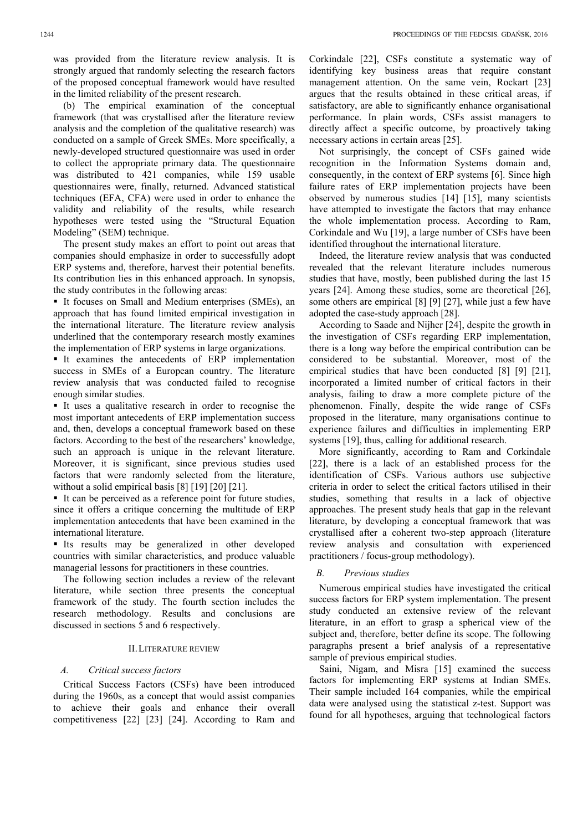was provided from the literature review analysis. It is strongly argued that randomly selecting the research factors of the proposed conceptual framework would have resulted in the limited reliability of the present research.

(b) The empirical examination of the conceptual framework (that was crystallised after the literature review analysis and the completion of the qualitative research) was conducted on a sample of Greek SMEs. More specifically, a newly-developed structured questionnaire was used in order to collect the appropriate primary data. The questionnaire was distributed to 421 companies, while 159 usable questionnaires were, finally, returned. Advanced statistical techniques (EFA, CFA) were used in order to enhance the validity and reliability of the results, while research hypotheses were tested using the "Structural Equation Modeling" (SEM) technique.

The present study makes an effort to point out areas that companies should emphasize in order to successfully adopt ERP systems and, therefore, harvest their potential benefits. Its contribution lies in this enhanced approach. In synopsis, the study contributes in the following areas:

 It focuses on Small and Medium enterprises (SMEs), an approach that has found limited empirical investigation in the international literature. The literature review analysis underlined that the contemporary research mostly examines the implementation of ERP systems in large organizations.

 It examines the antecedents of ERP implementation success in SMEs of a European country. The literature review analysis that was conducted failed to recognise enough similar studies.

 It uses a qualitative research in order to recognise the most important antecedents of ERP implementation success and, then, develops a conceptual framework based on these factors. According to the best of the researchers' knowledge, such an approach is unique in the relevant literature. Moreover, it is significant, since previous studies used factors that were randomly selected from the literature, without a solid empirical basis [8] [19] [20] [21].

 It can be perceived as a reference point for future studies, since it offers a critique concerning the multitude of ERP implementation antecedents that have been examined in the international literature.

 Its results may be generalized in other developed countries with similar characteristics, and produce valuable managerial lessons for practitioners in these countries.

The following section includes a review of the relevant literature, while section three presents the conceptual framework of the study. The fourth section includes the research methodology. Results and conclusions are discussed in sections 5 and 6 respectively.

## II.LITERATURE REVIEW

## *A. Critical success factors*

Critical Success Factors (CSFs) have been introduced during the 1960s, as a concept that would assist companies to achieve their goals and enhance their overall competitiveness [22] [23] [24]. According to Ram and Corkindale [22], CSFs constitute a systematic way of identifying key business areas that require constant management attention. On the same vein, Rockart [23] argues that the results obtained in these critical areas, if satisfactory, are able to significantly enhance organisational performance. In plain words, CSFs assist managers to directly affect a specific outcome, by proactively taking necessary actions in certain areas [25].

Not surprisingly, the concept of CSFs gained wide recognition in the Information Systems domain and, consequently, in the context of ERP systems [6]. Since high failure rates of ERP implementation projects have been observed by numerous studies [14] [15], many scientists have attempted to investigate the factors that may enhance the whole implementation process. According to Ram, Corkindale and Wu [19], a large number of CSFs have been identified throughout the international literature.

Indeed, the literature review analysis that was conducted revealed that the relevant literature includes numerous studies that have, mostly, been published during the last 15 years [24]. Among these studies, some are theoretical [26], some others are empirical [8] [9] [27], while just a few have adopted the case-study approach [28].

According to Saade and Nijher [24], despite the growth in the investigation of CSFs regarding ERP implementation, there is a long way before the empirical contribution can be considered to be substantial. Moreover, most of the empirical studies that have been conducted [8] [9] [21], incorporated a limited number of critical factors in their analysis, failing to draw a more complete picture of the phenomenon. Finally, despite the wide range of CSFs proposed in the literature, many organisations continue to experience failures and difficulties in implementing ERP systems [19], thus, calling for additional research.

More significantly, according to Ram and Corkindale [22], there is a lack of an established process for the identification of CSFs. Various authors use subjective criteria in order to select the critical factors utilised in their studies, something that results in a lack of objective approaches. The present study heals that gap in the relevant literature, by developing a conceptual framework that was crystallised after a coherent two-step approach (literature review analysis and consultation with experienced practitioners / focus-group methodology).

### *B. Previous studies*

Numerous empirical studies have investigated the critical success factors for ERP system implementation. The present study conducted an extensive review of the relevant literature, in an effort to grasp a spherical view of the subject and, therefore, better define its scope. The following paragraphs present a brief analysis of a representative sample of previous empirical studies.

Saini, Nigam, and Misra [15] examined the success factors for implementing ERP systems at Indian SMEs. Their sample included 164 companies, while the empirical data were analysed using the statistical z-test. Support was found for all hypotheses, arguing that technological factors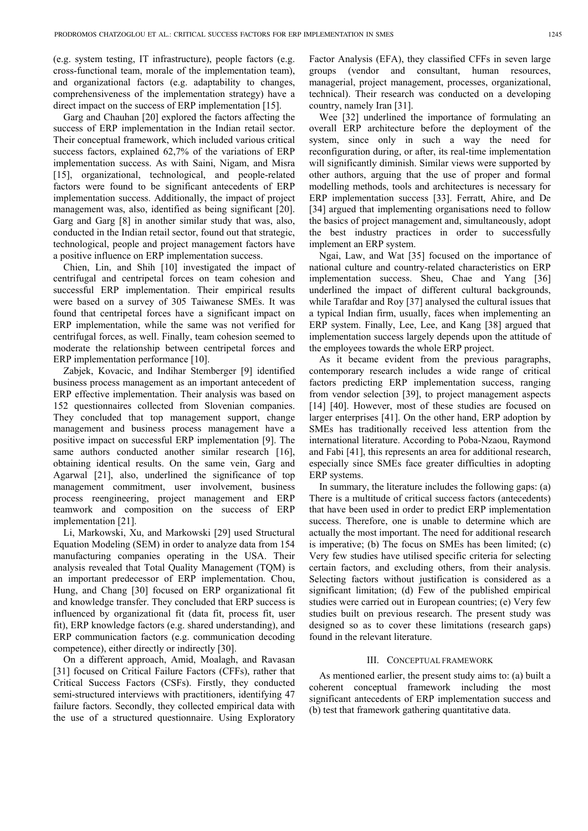(e.g. system testing, IT infrastructure), people factors (e.g. cross-functional team, morale of the implementation team), and organizational factors (e.g. adaptability to changes, comprehensiveness of the implementation strategy) have a direct impact on the success of ERP implementation [15].

Garg and Chauhan [20] explored the factors affecting the success of ERP implementation in the Indian retail sector. Their conceptual framework, which included various critical success factors, explained 62,7% of the variations of ERP implementation success. As with Saini, Nigam, and Misra [15], organizational, technological, and people-related factors were found to be significant antecedents of ERP implementation success. Additionally, the impact of project management was, also, identified as being significant [20]. Garg and Garg [8] in another similar study that was, also, conducted in the Indian retail sector, found out that strategic, technological, people and project management factors have a positive influence on ERP implementation success.

Chien, Lin, and Shih [10] investigated the impact of centrifugal and centripetal forces on team cohesion and successful ERP implementation. Their empirical results were based on a survey of 305 Taiwanese SMEs. It was found that centripetal forces have a significant impact on ERP implementation, while the same was not verified for centrifugal forces, as well. Finally, team cohesion seemed to moderate the relationship between centripetal forces and ERP implementation performance [10].

Zabjek, Kovacic, and Indihar Stemberger [9] identified business process management as an important antecedent of ERP effective implementation. Their analysis was based on 152 questionnaires collected from Slovenian companies. They concluded that top management support, change management and business process management have a positive impact on successful ERP implementation [9]. The same authors conducted another similar research [16], obtaining identical results. On the same vein, Garg and Agarwal [21], also, underlined the significance of top management commitment, user involvement, business process reengineering, project management and ERP teamwork and composition on the success of ERP implementation [21].

Li, Markowski, Xu, and Markowski [29] used Structural Equation Modeling (SEM) in order to analyze data from 154 manufacturing companies operating in the USA. Their analysis revealed that Total Quality Management (TQM) is an important predecessor of ERP implementation. Chou, Hung, and Chang [30] focused on ERP organizational fit and knowledge transfer. They concluded that ERP success is influenced by organizational fit (data fit, process fit, user fit), ERP knowledge factors (e.g. shared understanding), and ERP communication factors (e.g. communication decoding competence), either directly or indirectly [30].

On a different approach, Amid, Moalagh, and Ravasan [31] focused on Critical Failure Factors (CFFs), rather that Critical Success Factors (CSFs). Firstly, they conducted semi-structured interviews with practitioners, identifying 47 failure factors. Secondly, they collected empirical data with the use of a structured questionnaire. Using Exploratory

Factor Analysis (EFA), they classified CFFs in seven large groups (vendor and consultant, human resources, managerial, project management, processes, organizational, technical). Their research was conducted on a developing country, namely Iran [31].

Wee [32] underlined the importance of formulating an overall ERP architecture before the deployment of the system, since only in such a way the need for reconfiguration during, or after, its real-time implementation will significantly diminish. Similar views were supported by other authors, arguing that the use of proper and formal modelling methods, tools and architectures is necessary for ERP implementation success [33]. Ferratt, Ahire, and De [34] argued that implementing organisations need to follow the basics of project management and, simultaneously, adopt the best industry practices in order to successfully implement an ERP system.

Ngai, Law, and Wat [35] focused on the importance of national culture and country-related characteristics on ERP implementation success. Sheu, Chae and Yang [36] underlined the impact of different cultural backgrounds, while Tarafdar and Roy [37] analysed the cultural issues that a typical Indian firm, usually, faces when implementing an ERP system. Finally, Lee, Lee, and Kang [38] argued that implementation success largely depends upon the attitude of the employees towards the whole ERP project.

As it became evident from the previous paragraphs, contemporary research includes a wide range of critical factors predicting ERP implementation success, ranging from vendor selection [39], to project management aspects [14] [40]. However, most of these studies are focused on larger enterprises [41]. On the other hand, ERP adoption by SMEs has traditionally received less attention from the international literature. According to Poba-Nzaou, Raymond and Fabi [41], this represents an area for additional research, especially since SMEs face greater difficulties in adopting ERP systems.

In summary, the literature includes the following gaps: (a) There is a multitude of critical success factors (antecedents) that have been used in order to predict ERP implementation success. Therefore, one is unable to determine which are actually the most important. The need for additional research is imperative; (b) The focus on SMEs has been limited; (c) Very few studies have utilised specific criteria for selecting certain factors, and excluding others, from their analysis. Selecting factors without justification is considered as a significant limitation; (d) Few of the published empirical studies were carried out in European countries; (e) Very few studies built on previous research. The present study was designed so as to cover these limitations (research gaps) found in the relevant literature.

## III. CONCEPTUAL FRAMEWORK

As mentioned earlier, the present study aims to: (a) built a coherent conceptual framework including the most significant antecedents of ERP implementation success and (b) test that framework gathering quantitative data.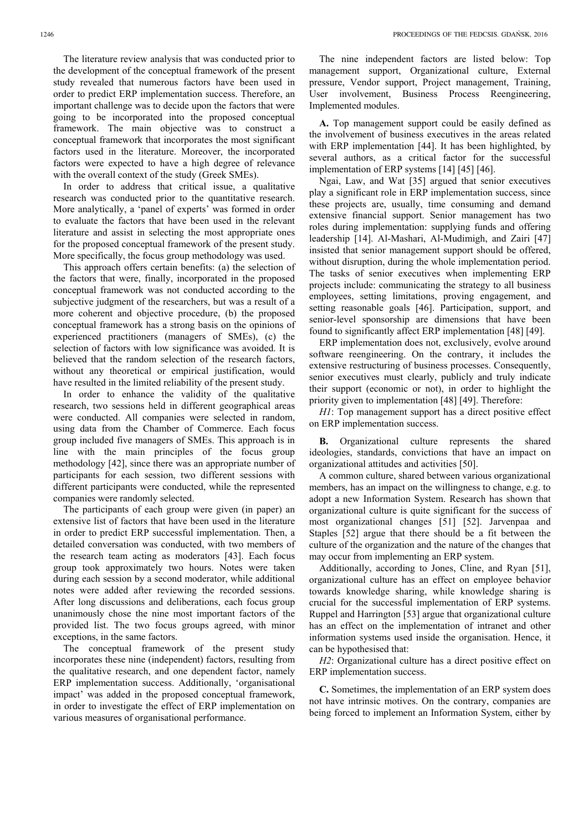The literature review analysis that was conducted prior to the development of the conceptual framework of the present study revealed that numerous factors have been used in order to predict ERP implementation success. Therefore, an important challenge was to decide upon the factors that were going to be incorporated into the proposed conceptual framework. The main objective was to construct a conceptual framework that incorporates the most significant factors used in the literature. Moreover, the incorporated factors were expected to have a high degree of relevance with the overall context of the study (Greek SMEs).

In order to address that critical issue, a qualitative research was conducted prior to the quantitative research. More analytically, a 'panel of experts' was formed in order to evaluate the factors that have been used in the relevant literature and assist in selecting the most appropriate ones for the proposed conceptual framework of the present study. More specifically, the focus group methodology was used.

This approach offers certain benefits: (a) the selection of the factors that were, finally, incorporated in the proposed conceptual framework was not conducted according to the subjective judgment of the researchers, but was a result of a more coherent and objective procedure, (b) the proposed conceptual framework has a strong basis on the opinions of experienced practitioners (managers of SMEs), (c) the selection of factors with low significance was avoided. It is believed that the random selection of the research factors, without any theoretical or empirical justification, would have resulted in the limited reliability of the present study.

In order to enhance the validity of the qualitative research, two sessions held in different geographical areas were conducted. All companies were selected in random, using data from the Chamber of Commerce. Each focus group included five managers of SMEs. This approach is in line with the main principles of the focus group methodology [42], since there was an appropriate number of participants for each session, two different sessions with different participants were conducted, while the represented companies were randomly selected.

The participants of each group were given (in paper) an extensive list of factors that have been used in the literature in order to predict ERP successful implementation. Then, a detailed conversation was conducted, with two members of the research team acting as moderators [43]. Each focus group took approximately two hours. Notes were taken during each session by a second moderator, while additional notes were added after reviewing the recorded sessions. After long discussions and deliberations, each focus group unanimously chose the nine most important factors of the provided list. The two focus groups agreed, with minor exceptions, in the same factors.

The conceptual framework of the present study incorporates these nine (independent) factors, resulting from the qualitative research, and one dependent factor, namely ERP implementation success. Additionally, 'organisational impact' was added in the proposed conceptual framework, in order to investigate the effect of ERP implementation on various measures of organisational performance.

The nine independent factors are listed below: Top management support, Organizational culture, External pressure, Vendor support, Project management, Training, User involvement, Business Process Reengineering, Implemented modules.

**A.** Top management support could be easily defined as the involvement of business executives in the areas related with ERP implementation [44]. It has been highlighted, by several authors, as a critical factor for the successful implementation of ERP systems [14] [45] [46].

Ngai, Law, and Wat [35] argued that senior executives play a significant role in ERP implementation success, since these projects are, usually, time consuming and demand extensive financial support. Senior management has two roles during implementation: supplying funds and offering leadership [14]. Al-Mashari, Al-Mudimigh, and Zairi [47] insisted that senior management support should be offered, without disruption, during the whole implementation period. The tasks of senior executives when implementing ERP projects include: communicating the strategy to all business employees, setting limitations, proving engagement, and setting reasonable goals [46]. Participation, support, and senior-level sponsorship are dimensions that have been found to significantly affect ERP implementation [48] [49].

ERP implementation does not, exclusively, evolve around software reengineering. On the contrary, it includes the extensive restructuring of business processes. Consequently, senior executives must clearly, publicly and truly indicate their support (economic or not), in order to highlight the priority given to implementation [48] [49]. Therefore:

*H1*: Top management support has a direct positive effect on ERP implementation success.

**B.** Organizational culture represents the shared ideologies, standards, convictions that have an impact on organizational attitudes and activities [50].

A common culture, shared between various organizational members, has an impact on the willingness to change, e.g. to adopt a new Information System. Research has shown that organizational culture is quite significant for the success of most organizational changes [51] [52]. Jarvenpaa and Staples [52] argue that there should be a fit between the culture of the organization and the nature of the changes that may occur from implementing an ERP system.

Additionally, according to Jones, Cline, and Ryan [51], organizational culture has an effect on employee behavior towards knowledge sharing, while knowledge sharing is crucial for the successful implementation of ERP systems. Ruppel and Harrington [53] argue that organizational culture has an effect on the implementation of intranet and other information systems used inside the organisation. Hence, it can be hypothesised that:

*H2*: Organizational culture has a direct positive effect on ERP implementation success.

**C.** Sometimes, the implementation of an ERP system does not have intrinsic motives. On the contrary, companies are being forced to implement an Information System, either by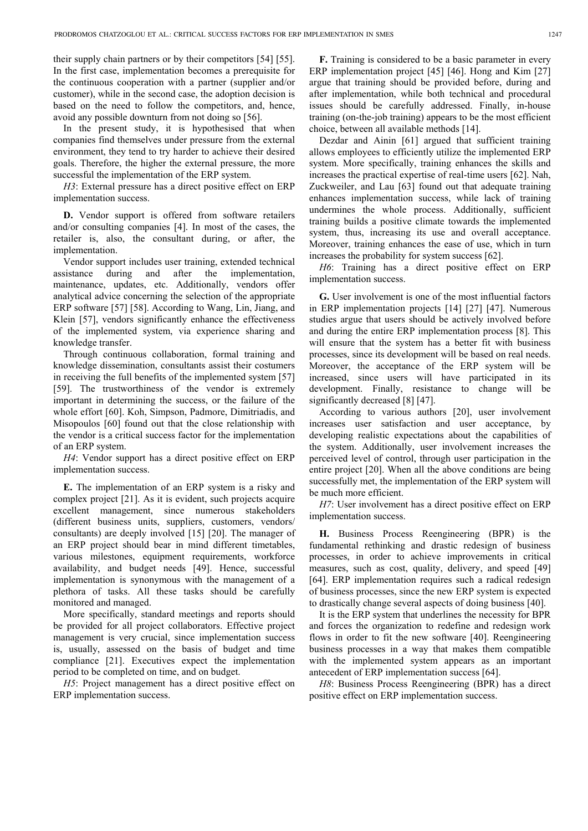their supply chain partners or by their competitors [54] [55]. In the first case, implementation becomes a prerequisite for the continuous cooperation with a partner (supplier and/or customer), while in the second case, the adoption decision is based on the need to follow the competitors, and, hence, avoid any possible downturn from not doing so [56].

In the present study, it is hypothesised that when companies find themselves under pressure from the external environment, they tend to try harder to achieve their desired goals. Therefore, the higher the external pressure, the more successful the implementation of the ERP system.

*H3*: External pressure has a direct positive effect on ERP implementation success.

**D.** Vendor support is offered from software retailers and/or consulting companies [4]. In most of the cases, the retailer is, also, the consultant during, or after, the implementation.

Vendor support includes user training, extended technical assistance during and after the implementation, maintenance, updates, etc. Additionally, vendors offer analytical advice concerning the selection of the appropriate ERP software [57] [58]. According to Wang, Lin, Jiang, and Klein [57], vendors significantly enhance the effectiveness of the implemented system, via experience sharing and knowledge transfer.

Through continuous collaboration, formal training and knowledge dissemination, consultants assist their costumers in receiving the full benefits of the implemented system [57] [59]. The trustworthiness of the vendor is extremely important in determining the success, or the failure of the whole effort [60]. Koh, Simpson, Padmore, Dimitriadis, and Misopoulos [60] found out that the close relationship with the vendor is a critical success factor for the implementation of an ERP system.

*H4*: Vendor support has a direct positive effect on ERP implementation success.

**E.** The implementation of an ERP system is a risky and complex project [21]. As it is evident, such projects acquire excellent management, since numerous stakeholders (different business units, suppliers, customers, vendors/ consultants) are deeply involved [15] [20]. The manager of an ERP project should bear in mind different timetables, various milestones, equipment requirements, workforce availability, and budget needs [49]. Hence, successful implementation is synonymous with the management of a plethora of tasks. All these tasks should be carefully monitored and managed.

More specifically, standard meetings and reports should be provided for all project collaborators. Effective project management is very crucial, since implementation success is, usually, assessed on the basis of budget and time compliance [21]. Executives expect the implementation period to be completed on time, and on budget.

*H5*: Project management has a direct positive effect on ERP implementation success.

**F.** Training is considered to be a basic parameter in every ERP implementation project [45] [46]. Hong and Kim [27] argue that training should be provided before, during and after implementation, while both technical and procedural issues should be carefully addressed. Finally, in-house training (on-the-job training) appears to be the most efficient choice, between all available methods [14].

Dezdar and Ainin [61] argued that sufficient training allows employees to efficiently utilize the implemented ERP system. More specifically, training enhances the skills and increases the practical expertise of real-time users [62]. Nah, Zuckweiler, and Lau [63] found out that adequate training enhances implementation success, while lack of training undermines the whole process. Additionally, sufficient training builds a positive climate towards the implemented system, thus, increasing its use and overall acceptance. Moreover, training enhances the ease of use, which in turn increases the probability for system success [62].

*H6*: Training has a direct positive effect on ERP implementation success.

**G.** User involvement is one of the most influential factors in ERP implementation projects [14] [27] [47]. Numerous studies argue that users should be actively involved before and during the entire ERP implementation process [8]. This will ensure that the system has a better fit with business processes, since its development will be based on real needs. Moreover, the acceptance of the ERP system will be increased, since users will have participated in its development. Finally, resistance to change will be significantly decreased [8] [47].

According to various authors [20], user involvement increases user satisfaction and user acceptance, by developing realistic expectations about the capabilities of the system. Additionally, user involvement increases the perceived level of control, through user participation in the entire project [20]. When all the above conditions are being successfully met, the implementation of the ERP system will be much more efficient.

*H7*: User involvement has a direct positive effect on ERP implementation success.

**H.** Business Process Reengineering (BPR) is the fundamental rethinking and drastic redesign of business processes, in order to achieve improvements in critical measures, such as cost, quality, delivery, and speed [49] [64]. ERP implementation requires such a radical redesign of business processes, since the new ERP system is expected to drastically change several aspects of doing business [40].

It is the ERP system that underlines the necessity for BPR and forces the organization to redefine and redesign work flows in order to fit the new software [40]. Reengineering business processes in a way that makes them compatible with the implemented system appears as an important antecedent of ERP implementation success [64].

*H8*: Business Process Reengineering (BPR) has a direct positive effect on ERP implementation success.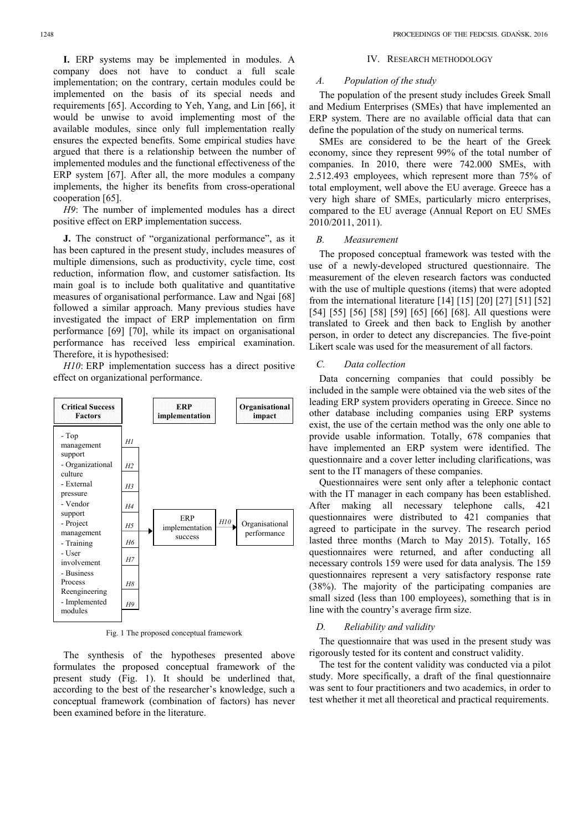**I.** ERP systems may be implemented in modules. A company does not have to conduct a full scale implementation; on the contrary, certain modules could be implemented on the basis of its special needs and requirements [65]. According to Yeh, Yang, and Lin [66], it would be unwise to avoid implementing most of the available modules, since only full implementation really ensures the expected benefits. Some empirical studies have argued that there is a relationship between the number of implemented modules and the functional effectiveness of the ERP system [67]. After all, the more modules a company implements, the higher its benefits from cross-operational cooperation [65].

*H9*: The number of implemented modules has a direct positive effect on ERP implementation success.

**J.** The construct of "organizational performance", as it has been captured in the present study, includes measures of multiple dimensions, such as productivity, cycle time, cost reduction, information flow, and customer satisfaction. Its main goal is to include both qualitative and quantitative measures of organisational performance. Law and Ngai [68] followed a similar approach. Many previous studies have investigated the impact of ERP implementation on firm performance [69] [70], while its impact on organisational performance has received less empirical examination. Therefore, it is hypothesised:

*H10*: ERP implementation success has a direct positive effect on organizational performance.



Fig. 1 The proposed conceptual framework

The synthesis of the hypotheses presented above formulates the proposed conceptual framework of the present study (Fig. 1). It should be underlined that, according to the best of the researcher's knowledge, such a conceptual framework (combination of factors) has never been examined before in the literature.

## IV. RESEARCH METHODOLOGY

## *A. Population of the study*

The population of the present study includes Greek Small and Medium Enterprises (SMEs) that have implemented an ERP system. There are no available official data that can define the population of the study on numerical terms.

SMEs are considered to be the heart of the Greek economy, since they represent 99% of the total number of companies. In 2010, there were 742.000 SMEs, with 2.512.493 employees, which represent more than 75% of total employment, well above the EU average. Greece has a very high share of SMEs, particularly micro enterprises, compared to the EU average (Annual Report on EU SMEs 2010/2011, 2011).

#### *B. Measurement*

The proposed conceptual framework was tested with the use of a newly-developed structured questionnaire. The measurement of the eleven research factors was conducted with the use of multiple questions (items) that were adopted from the international literature [14] [15] [20] [27] [51] [52] [54] [55] [56] [58] [59] [65] [66] [68]. All questions were translated to Greek and then back to English by another person, in order to detect any discrepancies. The five-point Likert scale was used for the measurement of all factors.

## *C. Data collection*

Data concerning companies that could possibly be included in the sample were obtained via the web sites of the leading ERP system providers operating in Greece. Since no other database including companies using ERP systems exist, the use of the certain method was the only one able to provide usable information. Totally, 678 companies that have implemented an ERP system were identified. The questionnaire and a cover letter including clarifications, was sent to the IT managers of these companies.

Questionnaires were sent only after a telephonic contact with the IT manager in each company has been established. After making all necessary telephone calls, 421 questionnaires were distributed to 421 companies that agreed to participate in the survey. The research period lasted three months (March to May 2015). Totally, 165 questionnaires were returned, and after conducting all necessary controls 159 were used for data analysis. The 159 questionnaires represent a very satisfactory response rate (38%). The majority of the participating companies are small sized (less than 100 employees), something that is in line with the country's average firm size.

## *D. Reliability and validity*

The questionnaire that was used in the present study was rigorously tested for its content and construct validity.

The test for the content validity was conducted via a pilot study. More specifically, a draft of the final questionnaire was sent to four practitioners and two academics, in order to test whether it met all theoretical and practical requirements.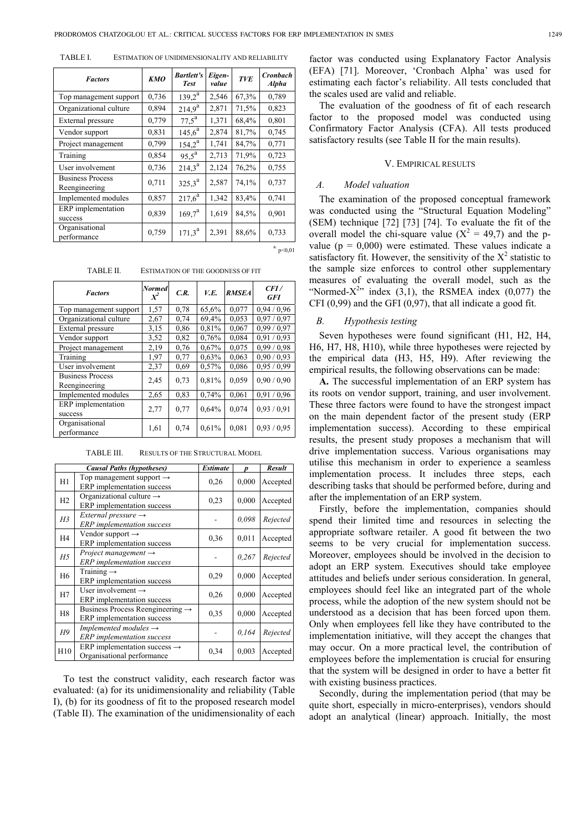TABLE I. ESTIMATION OF UNIDIMENSIONALITY AND RELIABILITY

| <b>Factors</b>                           | <b>KMO</b> | <b>Bartlett's</b><br><b>Test</b> | Eigen-<br>value | <b>TVE</b> | <b>Cronbach</b><br><b>Alpha</b> |
|------------------------------------------|------------|----------------------------------|-----------------|------------|---------------------------------|
| Top management support                   | 0,736      | $139,2^a$                        | 2,546           | 67,3%      | 0,789                           |
| Organizational culture                   | 0,894      | 214.9 <sup>a</sup>               | 2,871           | 71,5%      | 0,823                           |
| External pressure                        | 0,779      | $77,5^{\rm a}$                   | 1,371           | 68,4%      | 0,801                           |
| Vendor support                           | 0,831      | $145.6^a$                        | 2,874           | 81,7%      | 0,745                           |
| Project management                       | 0,799      | $154,2^a$                        | 1,741           | 84,7%      | 0,771                           |
| Training                                 | 0,854      | $95.5^{\rm a}$                   | 2,713           | 71,9%      | 0,723                           |
| User involvement                         | 0,736      | $214.3^a$                        | 2,124           | 76,2%      | 0,755                           |
| <b>Business Process</b><br>Reengineering | 0,711      | $325,3^a$                        | 2,587           | 74,1%      | 0,737                           |
| Implemented modules                      | 0,857      | $217,6^a$                        | 1,342           | 83,4%      | 0,741                           |
| ERP implementation<br>success            | 0,839      | $169.7^{\text{a}}$               | 1,619           | 84,5%      | 0,901                           |
| Organisational<br>performance            | 0,759      | $171,3^a$                        | 2,391           | 88,6%      | 0,733                           |

 $a^2$  p<0.01

TABLE II. ESTIMATION OF THE GOODNESS OF FIT

| <b>Factors</b>                           | Normed<br>$\mathbf{X}^2$ | C.R. | V.E.  | <b>RMSEA</b> | CFI/<br><b>GFI</b> |
|------------------------------------------|--------------------------|------|-------|--------------|--------------------|
| Top management support                   | 1,57                     | 0.78 | 65.6% | 0,077        | 0.94 / 0.96        |
| Organizational culture                   | 2,67                     | 0,74 | 69,4% | 0,053        | 0.97/0.97          |
| External pressure                        | 3,15                     | 0,86 | 0.81% | 0.067        | 0.99/0.97          |
| Vendor support                           | 3,52                     | 0,82 | 0,76% | 0,084        | 0.91/0.93          |
| Project management                       | 2,19                     | 0,76 | 0.67% | 0,075        | 0.99/0.98          |
| Training                                 | 1,97                     | 0.77 | 0.63% | 0,063        | 0,90/0,93          |
| User involvement                         | 2,37                     | 0.69 | 0,57% | 0,086        | 0.95/0.99          |
| <b>Business Process</b><br>Reengineering | 2,45                     | 0.73 | 0,81% | 0,059        | 0,90/0,90          |
| Implemented modules                      | 2,65                     | 0,83 | 0,74% | 0,061        | 0.91/0.96          |
| ERP implementation<br>success            | 2,77                     | 0.77 | 0.64% | 0.074        | 0.93/0.91          |
| Organisational<br>performance            | 1,61                     | 0,74 | 0,61% | 0,081        | 0.93 / 0.95        |

TABLE III. RESULTS OF THE STRUCTURAL MODEL

| <b>Causal Paths (hypotheses)</b> |                                                                            | <b>Estimate</b> |       | <b>Result</b> |
|----------------------------------|----------------------------------------------------------------------------|-----------------|-------|---------------|
| H1                               | Top management support $\rightarrow$<br>ERP implementation success         | 0,26            | 0,000 | Accepted      |
| H2                               | Organizational culture $\rightarrow$<br>ERP implementation success         | 0,23            | 0,000 | Accepted      |
| H <sub>3</sub>                   | External pressure $\rightarrow$<br><b>ERP</b> implementation success       |                 | 0.098 | Rejected      |
| H4                               | Vendor support $\rightarrow$<br>ERP implementation success                 | 0,36            | 0,011 | Accepted      |
| H <sub>5</sub>                   | Project management $\rightarrow$<br><b>ERP</b> implementation success      |                 | 0,267 | Rejected      |
| H6                               | Training $\rightarrow$<br>ERP implementation success                       | 0,29            | 0,000 | Accepted      |
| H7                               | User involvement $\rightarrow$<br>ERP implementation success               | 0,26            | 0,000 | Accepted      |
| H8                               | Business Process Reengineering $\rightarrow$<br>ERP implementation success | 0.35            | 0,000 | Accepted      |
| H9                               | Implemented modules $\rightarrow$<br><b>ERP</b> implementation success     |                 | 0.164 | Rejected      |
| H10                              | ERP implementation success $\rightarrow$<br>Organisational performance     | 0,34            | 0,003 | Accepted      |

To test the construct validity, each research factor was evaluated: (a) for its unidimensionality and reliability (Table I), (b) for its goodness of fit to the proposed research model (Table II). The examination of the unidimensionality of each factor was conducted using Explanatory Factor Analysis (EFA) [71]. Moreover, 'Cronbach Alpha' was used for estimating each factor's reliability. All tests concluded that the scales used are valid and reliable.

The evaluation of the goodness of fit of each research factor to the proposed model was conducted using Confirmatory Factor Analysis (CFA). All tests produced satisfactory results (see Table II for the main results).

### V. EMPIRICAL RESULTS

#### *A. Model valuation*

The examination of the proposed conceptual framework was conducted using the "Structural Equation Modeling" (SEM) technique [72] [73] [74]. To evaluate the fit of the overall model the chi-square value  $(X^2 = 49,7)$  and the pvalue ( $p = 0.000$ ) were estimated. These values indicate a satisfactory fit. However, the sensitivity of the  $X^2$  statistic to the sample size enforces to control other supplementary measures of evaluating the overall model, such as the "Normed- $X^{2}$ " index (3,1), the RSMEA index (0,077) the CFI  $(0,99)$  and the GFI  $(0,97)$ , that all indicate a good fit.

## *B. Hypothesis testing*

Seven hypotheses were found significant (H1, H2, H4, H6, H7, H8, H10), while three hypotheses were rejected by the empirical data (H3, H5, H9). After reviewing the empirical results, the following observations can be made:

**A.** The successful implementation of an ERP system has its roots on vendor support, training, and user involvement. These three factors were found to have the strongest impact on the main dependent factor of the present study (ERP implementation success). According to these empirical results, the present study proposes a mechanism that will drive implementation success. Various organisations may utilise this mechanism in order to experience a seamless implementation process. It includes three steps, each describing tasks that should be performed before, during and after the implementation of an ERP system.

Firstly, before the implementation, companies should spend their limited time and resources in selecting the appropriate software retailer. A good fit between the two seems to be very crucial for implementation success. Moreover, employees should be involved in the decision to adopt an ERP system. Executives should take employee attitudes and beliefs under serious consideration. In general, employees should feel like an integrated part of the whole process, while the adoption of the new system should not be understood as a decision that has been forced upon them. Only when employees fell like they have contributed to the implementation initiative, will they accept the changes that may occur. On a more practical level, the contribution of employees before the implementation is crucial for ensuring that the system will be designed in order to have a better fit with existing business practices.

Secondly, during the implementation period (that may be quite short, especially in micro-enterprises), vendors should adopt an analytical (linear) approach. Initially, the most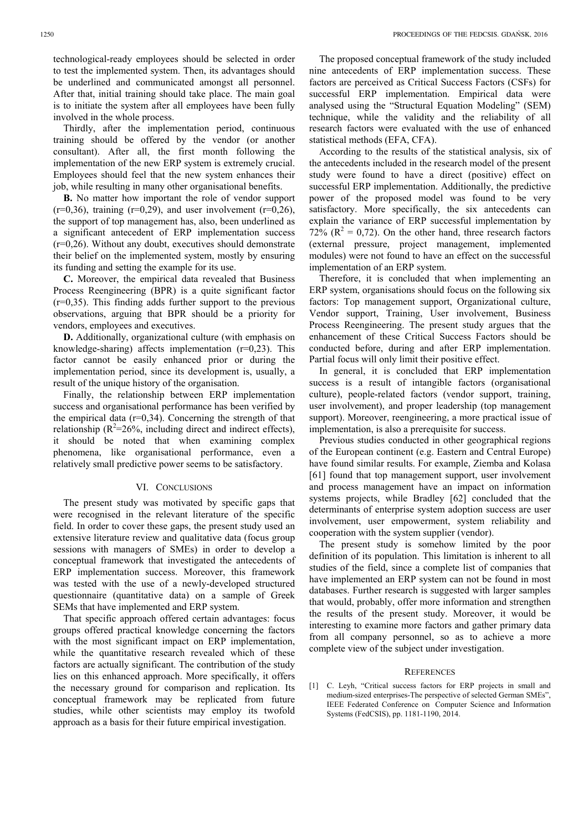Thirdly, after the implementation period, continuous training should be offered by the vendor (or another consultant). After all, the first month following the implementation of the new ERP system is extremely crucial. Employees should feel that the new system enhances their job, while resulting in many other organisational benefits.

**B.** No matter how important the role of vendor support  $(r=0,36)$ , training  $(r=0,29)$ , and user involvement  $(r=0,26)$ , the support of top management has, also, been underlined as a significant antecedent of ERP implementation success (r=0,26). Without any doubt, executives should demonstrate their belief on the implemented system, mostly by ensuring its funding and setting the example for its use.

**C.** Moreover, the empirical data revealed that Business Process Reengineering (BPR) is a quite significant factor  $(r=0,35)$ . This finding adds further support to the previous observations, arguing that BPR should be a priority for vendors, employees and executives.

**D.** Additionally, organizational culture (with emphasis on knowledge-sharing) affects implementation  $(r=0.23)$ . This factor cannot be easily enhanced prior or during the implementation period, since its development is, usually, a result of the unique history of the organisation.

Finally, the relationship between ERP implementation success and organisational performance has been verified by the empirical data  $(r=0,34)$ . Concerning the strength of that relationship ( $R^2 = 26\%$ , including direct and indirect effects), it should be noted that when examining complex phenomena, like organisational performance, even a relatively small predictive power seems to be satisfactory.

#### VI. CONCLUSIONS

The present study was motivated by specific gaps that were recognised in the relevant literature of the specific field. In order to cover these gaps, the present study used an extensive literature review and qualitative data (focus group sessions with managers of SMEs) in order to develop a conceptual framework that investigated the antecedents of ERP implementation success. Moreover, this framework was tested with the use of a newly-developed structured questionnaire (quantitative data) on a sample of Greek SEMs that have implemented and ERP system.

That specific approach offered certain advantages: focus groups offered practical knowledge concerning the factors with the most significant impact on ERP implementation, while the quantitative research revealed which of these factors are actually significant. The contribution of the study lies on this enhanced approach. More specifically, it offers the necessary ground for comparison and replication. Its conceptual framework may be replicated from future studies, while other scientists may employ its twofold approach as a basis for their future empirical investigation.

The proposed conceptual framework of the study included nine antecedents of ERP implementation success. These factors are perceived as Critical Success Factors (CSFs) for successful ERP implementation. Empirical data were analysed using the "Structural Equation Modeling" (SEM) technique, while the validity and the reliability of all research factors were evaluated with the use of enhanced statistical methods (EFA, CFA).

According to the results of the statistical analysis, six of the antecedents included in the research model of the present study were found to have a direct (positive) effect on successful ERP implementation. Additionally, the predictive power of the proposed model was found to be very satisfactory. More specifically, the six antecedents can explain the variance of ERP successful implementation by 72% ( $R^2 = 0.72$ ). On the other hand, three research factors (external pressure, project management, implemented modules) were not found to have an effect on the successful implementation of an ERP system.

Therefore, it is concluded that when implementing an ERP system, organisations should focus on the following six factors: Top management support, Organizational culture, Vendor support, Training, User involvement, Business Process Reengineering. The present study argues that the enhancement of these Critical Success Factors should be conducted before, during and after ERP implementation. Partial focus will only limit their positive effect.

In general, it is concluded that ERP implementation success is a result of intangible factors (organisational culture), people-related factors (vendor support, training, user involvement), and proper leadership (top management support). Moreover, reengineering, a more practical issue of implementation, is also a prerequisite for success.

Previous studies conducted in other geographical regions of the European continent (e.g. Eastern and Central Europe) have found similar results. For example, Ziemba and Kolasa [61] found that top management support, user involvement and process management have an impact on information systems projects, while Bradley [62] concluded that the determinants of enterprise system adoption success are user involvement, user empowerment, system reliability and cooperation with the system supplier (vendor).

The present study is somehow limited by the poor definition of its population. This limitation is inherent to all studies of the field, since a complete list of companies that have implemented an ERP system can not be found in most databases. Further research is suggested with larger samples that would, probably, offer more information and strengthen the results of the present study. Moreover, it would be interesting to examine more factors and gather primary data from all company personnel, so as to achieve a more complete view of the subject under investigation.

#### **REFERENCES**

[1] C. Leyh, "Critical success factors for ERP projects in small and medium-sized enterprises-The perspective of selected German SMEs", IEEE Federated Conference on Computer Science and Information Systems (FedCSIS), pp. 1181-1190, 2014.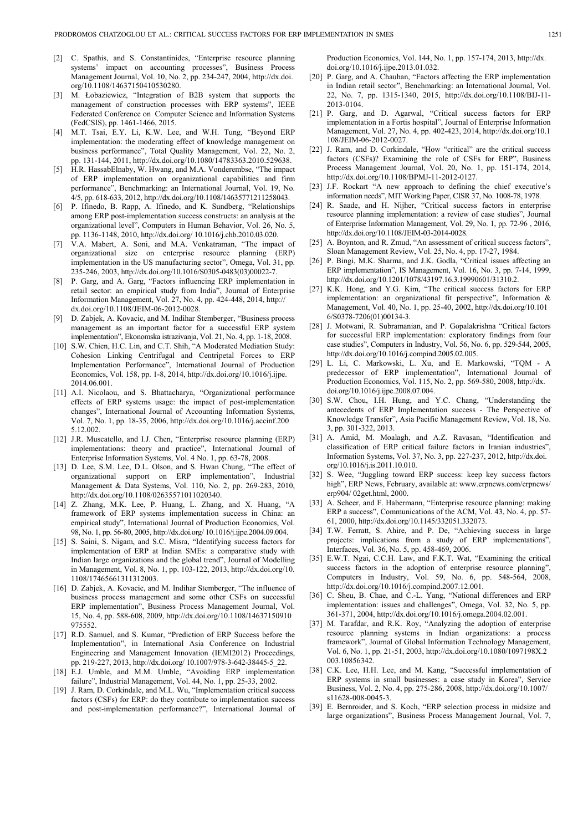- [2] C. Spathis, and S. Constantinides, "Enterprise resource planning systems' impact on accounting processes", Business Process Management Journal, Vol. 10, No. 2, pp. 234-247, 2004, http://dx.doi. org/10.1108/14637150410530280.
- [3] M. Łobaziewicz, "Integration of B2B system that supports the management of construction processes with ERP systems", IEEE Federated Conference on Computer Science and Information Systems (FedCSIS), pp. 1461-1466, 2015.
- [4] M.T. Tsai, E.Y. Li, K.W. Lee, and W.H. Tung, "Beyond ERP implementation: the moderating effect of knowledge management on business performance", Total Quality Management, Vol. 22, No. 2, pp. 131-144, 2011, http://dx.doi.org/10.1080/14783363.2010.529638.
- [5] H.R. HassabElnaby, W. Hwang, and M.A. Vonderembse, "The impact of ERP implementation on organizational capabilities and firm performance", Benchmarking: an International Journal, Vol. 19, No. 4/5, pp. 618-633, 2012, http://dx.doi.org/10.1108/14635771211258043.
- [6] P. Ifinedo, B. Rapp, A. Ifinedo, and K. Sundberg, "Relationships among ERP post-implementation success constructs: an analysis at the organizational level", Computers in Human Behavior, Vol. 26, No. 5, pp. 1136-1148, 2010, http://dx.doi.org/ 10.1016/j.chb.2010.03.020.
- [7] V.A. Mabert, A. Soni, and M.A. Venkatraman, "The impact of organizational size on enterprise resource planning (ERP) implementation in the US manufacturing sector", Omega, Vol. 31, pp. 235-246, 2003, http://dx.doi.org/10.1016/S0305-0483(03)00022-7.
- [8] P. Garg, and A. Garg, "Factors influencing ERP implementation in retail sector: an empirical study from India", Journal of Enterprise Information Management, Vol. 27, No. 4, pp. 424-448, 2014, http:// dx.doi.org/10.1108/JEIM-06-2012-0028.
- [9] D. Zabjek, A. Kovacic, and M. Indihar Stemberger, "Business process management as an important factor for a successful ERP system implementation", Ekonomska istrazivanja, Vol. 21, No. 4, pp. 1-18, 2008.
- [10] S.W. Chien, H.C. Lin, and C.T. Shih, "A Moderated Mediation Study: Cohesion Linking Centrifugal and Centripetal Forces to ERP Implementation Performance", International Journal of Production Economics, Vol. 158, pp. 1-8, 2014, http://dx.doi.org/10.1016/j.ijpe. 2014.06.001.
- [11] A.I. Nicolaou, and S. Bhattacharya, "Organizational performance effects of ERP systems usage: the impact of post-implementation changes", International Journal of Accounting Information Systems, Vol. 7, No. 1, pp. 18-35, 2006, http://dx.doi.org/10.1016/j.accinf.200 5.12.002.
- [12] J.R. Muscatello, and I.J. Chen, "Enterprise resource planning (ERP) implementations: theory and practice", International Journal of Enterprise Information Systems, Vol. 4 No. 1, pp. 63-78, 2008.
- [13] D. Lee, S.M. Lee, D.L. Olson, and S. Hwan Chung, "The effect of organizational support on ERP implementation", Industrial Management & Data Systems, Vol. 110, No. 2, pp. 269-283, 2010, http://dx.doi.org/10.1108/02635571011020340.
- [14] Z. Zhang, M.K. Lee, P. Huang, L. Zhang, and X. Huang, "A framework of ERP systems implementation success in China: an empirical study", International Journal of Production Economics, Vol. 98, No. 1, pp. 56-80, 2005, http://dx.doi.org/ 10.1016/j.ijpe.2004.09.004.
- [15] S. Saini, S. Nigam, and S.C. Misra, "Identifying success factors for implementation of ERP at Indian SMEs: a comparative study with Indian large organizations and the global trend", Journal of Modelling in Management, Vol. 8, No. 1, pp. 103-122, 2013, http://dx.doi.org/10. 1108/17465661311312003.
- [16] D. Zabjek, A. Kovacic, and M. Indihar Stemberger, "The influence of business process management and some other CSFs on successful ERP implementation", Business Process Management Journal, Vol. 15, No. 4, pp. 588-608, 2009, http://dx.doi.org/10.1108/14637150910 975552.
- [17] R.D. Samuel, and S. Kumar, "Prediction of ERP Success before the Implementation", in International Asia Conference on Industrial Engineering and Management Innovation (IEMI2012) Proceedings, pp. 219-227, 2013, http://dx.doi.org/ 10.1007/978-3-642-38445-5\_22.
- [18] E.J. Umble, and M.M. Umble, "Avoiding ERP implementation failure", Industrial Management, Vol. 44, No. 1, pp. 25-33, 2002.
- [19] J. Ram, D. Corkindale, and M.L. Wu, "Implementation critical success factors (CSFs) for ERP: do they contribute to implementation success and post-implementation performance?", International Journal of

Production Economics, Vol. 144, No. 1, pp. 157-174, 2013, http://dx. doi.org/10.1016/j.ijpe.2013.01.032.

- [20] P. Garg, and A. Chauhan, "Factors affecting the ERP implementation in Indian retail sector", Benchmarking: an International Journal, Vol. 22, No. 7, pp. 1315-1340, 2015, http://dx.doi.org/10.1108/BIJ-11- 2013-0104.
- [21] P. Garg, and D. Agarwal, "Critical success factors for ERP implementation in a Fortis hospital", Journal of Enterprise Information Management, Vol. 27, No. 4, pp. 402-423, 2014, http://dx.doi.org/10.1 108/JEIM-06-2012-0027.
- [22] J. Ram, and D. Corkindale, "How "critical" are the critical success factors (CSFs)? Examining the role of CSFs for ERP", Business Process Management Journal, Vol. 20, No. 1, pp. 151-174, 2014, http://dx.doi.org/10.1108/BPMJ-11-2012-0127.
- [23] J.F. Rockart "A new approach to defining the chief executive's information needs", MIT Working Paper, CISR 37, No. 1008-78, 1978.
- [24] R. Saade, and H. Nijher, "Critical success factors in enterprise resource planning implementation: a review of case studies", Journal of Enterprise Information Management, Vol. 29, No. 1, pp. 72-96 , 2016, http://dx.doi.org/10.1108/JEIM-03-2014-0028.
- [25] A. Boynton, and R. Zmud, "An assessment of critical success factors". Sloan Management Review, Vol. 25, No. 4, pp. 17-27, 1984.
- [26] P. Bingi, M.K. Sharma, and J.K. Godla, "Critical issues affecting an ERP implementation", IS Management, Vol. 16, No. 3, pp. 7-14, 1999, http://dx.doi.org/10.1201/1078/43197.16.3.19990601/31310.2.
- [27] K.K. Hong, and Y.G. Kim, "The critical success factors for ERP implementation: an organizational fit perspective", Information & Management, Vol. 40, No. 1, pp. 25-40, 2002, http://dx.doi.org/10.101 6/S0378-7206(01)00134-3.
- [28] J. Motwani, R. Subramanian, and P. Gopalakrishna "Critical factors for successful ERP implementation: exploratory findings from four case studies", Computers in Industry, Vol. 56, No. 6, pp. 529-544, 2005, http://dx.doi.org/10.1016/j.compind.2005.02.005.
- [29] L. Li, C. Markowski, L. Xu, and E. Markowski, "TQM A predecessor of ERP implementation", International Journal of Production Economics, Vol. 115, No. 2, pp. 569-580, 2008, http://dx. doi.org/10.1016/j.ijpe.2008.07.004.
- [30] S.W. Chou, I.H. Hung, and Y.C. Chang, "Understanding the antecedents of ERP Implementation success - The Perspective of Knowledge Transfer", Asia Pacific Management Review, Vol. 18, No. 3, pp. 301-322, 2013.
- [31] A. Amid, M. Moalagh, and A.Z. Ravasan, "Identification and classification of ERP critical failure factors in Iranian industries", Information Systems, Vol. 37, No. 3, pp. 227-237, 2012, http://dx.doi. org/10.1016/j.is.2011.10.010.
- [32] S. Wee, "Juggling toward ERP success: keep key success factors high", ERP News, February, available at: www.erpnews.com/erpnews/ erp904/ 02get.html, 2000.
- A. Scheer, and F. Habermann, "Enterprise resource planning: making ERP a success", Communications of the ACM, Vol. 43, No. 4, pp. 57- 61, 2000, http://dx.doi.org/10.1145/332051.332073.
- [34] T.W. Ferratt, S. Ahire, and P. De, "Achieving success in large projects: implications from a study of ERP implementations", Interfaces, Vol. 36, No. 5, pp. 458-469, 2006.
- [35] E.W.T. Ngai, C.C.H. Law, and F.K.T. Wat, "Examining the critical success factors in the adoption of enterprise resource planning", Computers in Industry, Vol. 59, No. 6, pp. 548-564, 2008, http://dx.doi.org/10.1016/j.compind.2007.12.001.
- [36] C. Sheu, B. Chae, and C.-L. Yang, "National differences and ERP implementation: issues and challenges", Omega, Vol. 32, No. 5, pp. 361-371, 2004, http://dx.doi.org/10.1016/j.omega.2004.02.001.
- [37] M. Tarafdar, and R.K. Roy, "Analyzing the adoption of enterprise resource planning systems in Indian organizations: a process framework", Journal of Global Information Technology Management, Vol. 6, No. 1, pp. 21-51, 2003, http://dx.doi.org/10.1080/1097198X.2 003.10856342.
- [38] C.K. Lee, H.H. Lee, and M. Kang, "Successful implementation of ERP systems in small businesses: a case study in Korea", Service Business, Vol. 2, No. 4, pp. 275-286, 2008, http://dx.doi.org/10.1007/ s11628-008-0045-3.
- [39] E. Bernroider, and S. Koch, "ERP selection process in midsize and large organizations", Business Process Management Journal, Vol. 7,